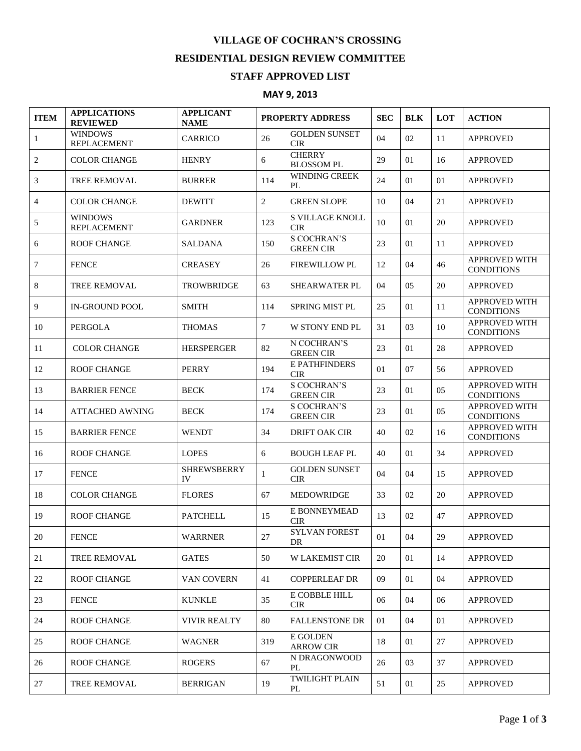## **VILLAGE OF COCHRAN'S CROSSING RESIDENTIAL DESIGN REVIEW COMMITTEE**

## **STAFF APPROVED LIST**

## **MAY 9, 2013**

| <b>ITEM</b>    | <b>APPLICATIONS</b><br><b>REVIEWED</b> | <b>APPLICANT</b><br><b>NAME</b> | PROPERTY ADDRESS |                                        | <b>SEC</b> | <b>BLK</b> | LOT | <b>ACTION</b>                             |
|----------------|----------------------------------------|---------------------------------|------------------|----------------------------------------|------------|------------|-----|-------------------------------------------|
| $\mathbf{1}$   | <b>WINDOWS</b><br><b>REPLACEMENT</b>   | <b>CARRICO</b>                  | 26               | <b>GOLDEN SUNSET</b><br><b>CIR</b>     | 04         | 02         | 11  | <b>APPROVED</b>                           |
| 2              | <b>COLOR CHANGE</b>                    | <b>HENRY</b>                    | 6                | <b>CHERRY</b><br><b>BLOSSOM PL</b>     | 29         | 01         | 16  | <b>APPROVED</b>                           |
| 3              | <b>TREE REMOVAL</b>                    | <b>BURRER</b>                   | 114              | <b>WINDING CREEK</b><br>PL             | 24         | 01         | 01  | <b>APPROVED</b>                           |
| $\overline{4}$ | <b>COLOR CHANGE</b>                    | <b>DEWITT</b>                   | $\overline{2}$   | <b>GREEN SLOPE</b>                     | 10         | 04         | 21  | <b>APPROVED</b>                           |
| 5              | <b>WINDOWS</b><br><b>REPLACEMENT</b>   | <b>GARDNER</b>                  | 123              | <b>S VILLAGE KNOLL</b><br><b>CIR</b>   | 10         | 01         | 20  | <b>APPROVED</b>                           |
| 6              | <b>ROOF CHANGE</b>                     | SALDANA                         | 150              | <b>S COCHRAN'S</b><br><b>GREEN CIR</b> | 23         | 01         | 11  | <b>APPROVED</b>                           |
| 7              | <b>FENCE</b>                           | <b>CREASEY</b>                  | 26               | FIREWILLOW PL                          | 12         | 04         | 46  | <b>APPROVED WITH</b><br><b>CONDITIONS</b> |
| 8              | TREE REMOVAL                           | <b>TROWBRIDGE</b>               | 63               | <b>SHEARWATER PL</b>                   | 04         | 05         | 20  | <b>APPROVED</b>                           |
| 9              | <b>IN-GROUND POOL</b>                  | <b>SMITH</b>                    | 114              | <b>SPRING MIST PL</b>                  | 25         | 01         | 11  | <b>APPROVED WITH</b><br><b>CONDITIONS</b> |
| 10             | <b>PERGOLA</b>                         | <b>THOMAS</b>                   | $\tau$           | W STONY END PL                         | 31         | 03         | 10  | <b>APPROVED WITH</b><br><b>CONDITIONS</b> |
| 11             | <b>COLOR CHANGE</b>                    | <b>HERSPERGER</b>               | 82               | N COCHRAN'S<br><b>GREEN CIR</b>        | 23         | 01         | 28  | <b>APPROVED</b>                           |
| 12             | <b>ROOF CHANGE</b>                     | <b>PERRY</b>                    | 194              | E PATHFINDERS<br><b>CIR</b>            | 01         | 07         | 56  | <b>APPROVED</b>                           |
| 13             | <b>BARRIER FENCE</b>                   | <b>BECK</b>                     | 174              | <b>S COCHRAN'S</b><br><b>GREEN CIR</b> | 23         | 01         | 0.5 | APPROVED WITH<br><b>CONDITIONS</b>        |
| 14             | <b>ATTACHED AWNING</b>                 | <b>BECK</b>                     | 174              | <b>S COCHRAN'S</b><br><b>GREEN CIR</b> | 23         | 01         | 05  | APPROVED WITH<br><b>CONDITIONS</b>        |
| 15             | <b>BARRIER FENCE</b>                   | <b>WENDT</b>                    | 34               | <b>DRIFT OAK CIR</b>                   | 40         | 02         | 16  | <b>APPROVED WITH</b><br><b>CONDITIONS</b> |
| 16             | <b>ROOF CHANGE</b>                     | <b>LOPES</b>                    | 6                | <b>BOUGH LEAF PL</b>                   | 40         | 01         | 34  | <b>APPROVED</b>                           |
| 17             | <b>FENCE</b>                           | <b>SHREWSBERRY</b><br>IV        | 1                | <b>GOLDEN SUNSET</b><br><b>CIR</b>     | 04         | 04         | 15  | <b>APPROVED</b>                           |
| 18             | <b>COLOR CHANGE</b>                    | <b>FLORES</b>                   | 67               | <b>MEDOWRIDGE</b>                      | 33         | 02         | 20  | <b>APPROVED</b>                           |
| 19             | <b>ROOF CHANGE</b>                     | <b>PATCHELL</b>                 | 15               | E BONNEYMEAD<br><b>CIR</b>             | 13         | 02         | 47  | <b>APPROVED</b>                           |
| 20             | <b>FENCE</b>                           | <b>WARRNER</b>                  | 27               | <b>SYLVAN FOREST</b><br>DR             | 01         | 04         | 29  | <b>APPROVED</b>                           |
| 21             | <b>TREE REMOVAL</b>                    | <b>GATES</b>                    | 50               | <b>W LAKEMIST CIR</b>                  | 20         | 01         | 14  | <b>APPROVED</b>                           |
| 22             | <b>ROOF CHANGE</b>                     | VAN COVERN                      | 41               | <b>COPPERLEAF DR</b>                   | 09         | 01         | 04  | <b>APPROVED</b>                           |
| 23             | <b>FENCE</b>                           | <b>KUNKLE</b>                   | 35               | E COBBLE HILL<br><b>CIR</b>            | 06         | 04         | 06  | <b>APPROVED</b>                           |
| 24             | <b>ROOF CHANGE</b>                     | <b>VIVIR REALTY</b>             | 80               | <b>FALLENSTONE DR</b>                  | 01         | 04         | 01  | <b>APPROVED</b>                           |
| 25             | <b>ROOF CHANGE</b>                     | <b>WAGNER</b>                   | 319              | E GOLDEN<br><b>ARROW CIR</b>           | 18         | 01         | 27  | <b>APPROVED</b>                           |
| 26             | ROOF CHANGE                            | <b>ROGERS</b>                   | 67               | N DRAGONWOOD<br>PL                     | 26         | 03         | 37  | <b>APPROVED</b>                           |
| 27             | TREE REMOVAL                           | <b>BERRIGAN</b>                 | 19               | <b>TWILIGHT PLAIN</b><br>PL            | 51         | 01         | 25  | <b>APPROVED</b>                           |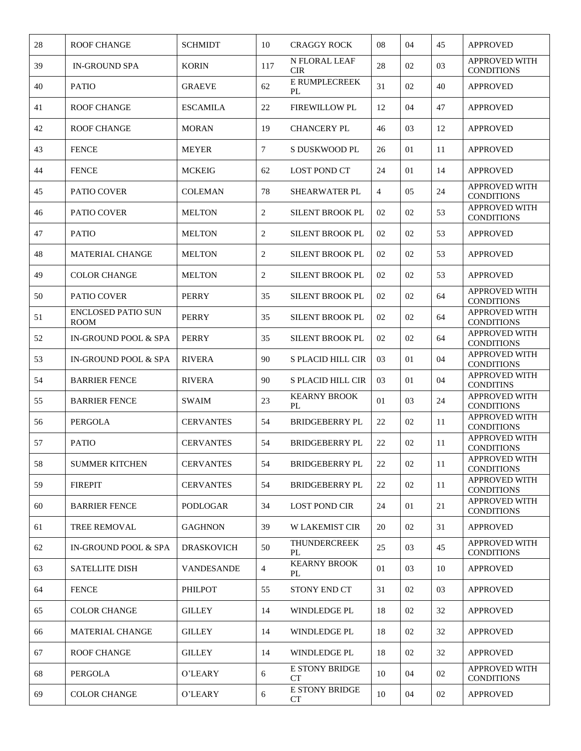| 28 | <b>ROOF CHANGE</b>                       | <b>SCHMIDT</b>    | 10             | <b>CRAGGY ROCK</b>          | 08 | 04 | 45 | <b>APPROVED</b>                           |
|----|------------------------------------------|-------------------|----------------|-----------------------------|----|----|----|-------------------------------------------|
| 39 | <b>IN-GROUND SPA</b>                     | <b>KORIN</b>      | 117            | N FLORAL LEAF<br><b>CIR</b> | 28 | 02 | 03 | APPROVED WITH<br><b>CONDITIONS</b>        |
| 40 | <b>PATIO</b>                             | <b>GRAEVE</b>     | 62             | E RUMPLECREEK<br>PL         | 31 | 02 | 40 | <b>APPROVED</b>                           |
| 41 | <b>ROOF CHANGE</b>                       | <b>ESCAMILA</b>   | 22             | <b>FIREWILLOW PL</b>        | 12 | 04 | 47 | <b>APPROVED</b>                           |
| 42 | <b>ROOF CHANGE</b>                       | <b>MORAN</b>      | 19             | <b>CHANCERY PL</b>          | 46 | 03 | 12 | <b>APPROVED</b>                           |
| 43 | <b>FENCE</b>                             | <b>MEYER</b>      | 7              | S DUSKWOOD PL               | 26 | 01 | 11 | <b>APPROVED</b>                           |
| 44 | <b>FENCE</b>                             | <b>MCKEIG</b>     | 62             | <b>LOST POND CT</b>         | 24 | 01 | 14 | <b>APPROVED</b>                           |
| 45 | PATIO COVER                              | <b>COLEMAN</b>    | 78             | SHEARWATER PL               | 4  | 05 | 24 | APPROVED WITH<br><b>CONDITIONS</b>        |
| 46 | PATIO COVER                              | <b>MELTON</b>     | $\overline{c}$ | <b>SILENT BROOK PL</b>      | 02 | 02 | 53 | APPROVED WITH<br><b>CONDITIONS</b>        |
| 47 | <b>PATIO</b>                             | <b>MELTON</b>     | $\overline{2}$ | <b>SILENT BROOK PL</b>      | 02 | 02 | 53 | <b>APPROVED</b>                           |
| 48 | <b>MATERIAL CHANGE</b>                   | <b>MELTON</b>     | $\overline{2}$ | <b>SILENT BROOK PL</b>      | 02 | 02 | 53 | <b>APPROVED</b>                           |
| 49 | <b>COLOR CHANGE</b>                      | <b>MELTON</b>     | $\overline{2}$ | <b>SILENT BROOK PL</b>      | 02 | 02 | 53 | <b>APPROVED</b>                           |
| 50 | PATIO COVER                              | <b>PERRY</b>      | 35             | <b>SILENT BROOK PL</b>      | 02 | 02 | 64 | <b>APPROVED WITH</b><br><b>CONDITIONS</b> |
| 51 | <b>ENCLOSED PATIO SUN</b><br><b>ROOM</b> | <b>PERRY</b>      | 35             | <b>SILENT BROOK PL</b>      | 02 | 02 | 64 | APPROVED WITH<br><b>CONDITIONS</b>        |
| 52 | <b>IN-GROUND POOL &amp; SPA</b>          | <b>PERRY</b>      | 35             | <b>SILENT BROOK PL</b>      | 02 | 02 | 64 | <b>APPROVED WITH</b><br><b>CONDITIONS</b> |
| 53 | <b>IN-GROUND POOL &amp; SPA</b>          | <b>RIVERA</b>     | 90             | <b>S PLACID HILL CIR</b>    | 03 | 01 | 04 | APPROVED WITH<br><b>CONDITIONS</b>        |
| 54 | <b>BARRIER FENCE</b>                     | <b>RIVERA</b>     | 90             | <b>S PLACID HILL CIR</b>    | 03 | 01 | 04 | APPROVED WITH<br><b>CONDITINS</b>         |
| 55 | <b>BARRIER FENCE</b>                     | <b>SWAIM</b>      | 23             | <b>KEARNY BROOK</b><br>PL   | 01 | 03 | 24 | APPROVED WITH<br><b>CONDITIONS</b>        |
| 56 | <b>PERGOLA</b>                           | <b>CERVANTES</b>  | 54             | <b>BRIDGEBERRY PL</b>       | 22 | 02 | 11 | APPROVED WITH<br><b>CONDITIONS</b>        |
| 57 | <b>PATIO</b>                             | <b>CERVANTES</b>  | 54             | <b>BRIDGEBERRY PL</b>       | 22 | 02 | 11 | APPROVED WITH<br><b>CONDITIONS</b>        |
| 58 | <b>SUMMER KITCHEN</b>                    | <b>CERVANTES</b>  | 54             | <b>BRIDGEBERRY PL</b>       | 22 | 02 | 11 | APPROVED WITH<br><b>CONDITIONS</b>        |
| 59 | <b>FIREPIT</b>                           | <b>CERVANTES</b>  | 54             | <b>BRIDGEBERRY PL</b>       | 22 | 02 | 11 | APPROVED WITH<br><b>CONDITIONS</b>        |
| 60 | <b>BARRIER FENCE</b>                     | <b>PODLOGAR</b>   | 34             | <b>LOST POND CIR</b>        | 24 | 01 | 21 | APPROVED WITH<br><b>CONDITIONS</b>        |
| 61 | TREE REMOVAL                             | <b>GAGHNON</b>    | 39             | <b>W LAKEMIST CIR</b>       | 20 | 02 | 31 | <b>APPROVED</b>                           |
| 62 | IN-GROUND POOL & SPA                     | <b>DRASKOVICH</b> | 50             | <b>THUNDERCREEK</b><br>PL   | 25 | 03 | 45 | APPROVED WITH<br><b>CONDITIONS</b>        |
| 63 | <b>SATELLITE DISH</b>                    | <b>VANDESANDE</b> | 4              | <b>KEARNY BROOK</b><br>PL   | 01 | 03 | 10 | <b>APPROVED</b>                           |
| 64 | <b>FENCE</b>                             | <b>PHILPOT</b>    | 55             | STONY END CT                | 31 | 02 | 03 | <b>APPROVED</b>                           |
| 65 | <b>COLOR CHANGE</b>                      | <b>GILLEY</b>     | 14             | WINDLEDGE PL                | 18 | 02 | 32 | <b>APPROVED</b>                           |
| 66 | <b>MATERIAL CHANGE</b>                   | <b>GILLEY</b>     | 14             | WINDLEDGE PL                | 18 | 02 | 32 | APPROVED                                  |
| 67 | <b>ROOF CHANGE</b>                       | <b>GILLEY</b>     | 14             | WINDLEDGE PL                | 18 | 02 | 32 | <b>APPROVED</b>                           |
| 68 | PERGOLA                                  | O'LEARY           | 6              | <b>E STONY BRIDGE</b><br>СT | 10 | 04 | 02 | APPROVED WITH<br><b>CONDITIONS</b>        |
| 69 | <b>COLOR CHANGE</b>                      | O'LEARY           | 6              | E STONY BRIDGE<br>CT        | 10 | 04 | 02 | <b>APPROVED</b>                           |